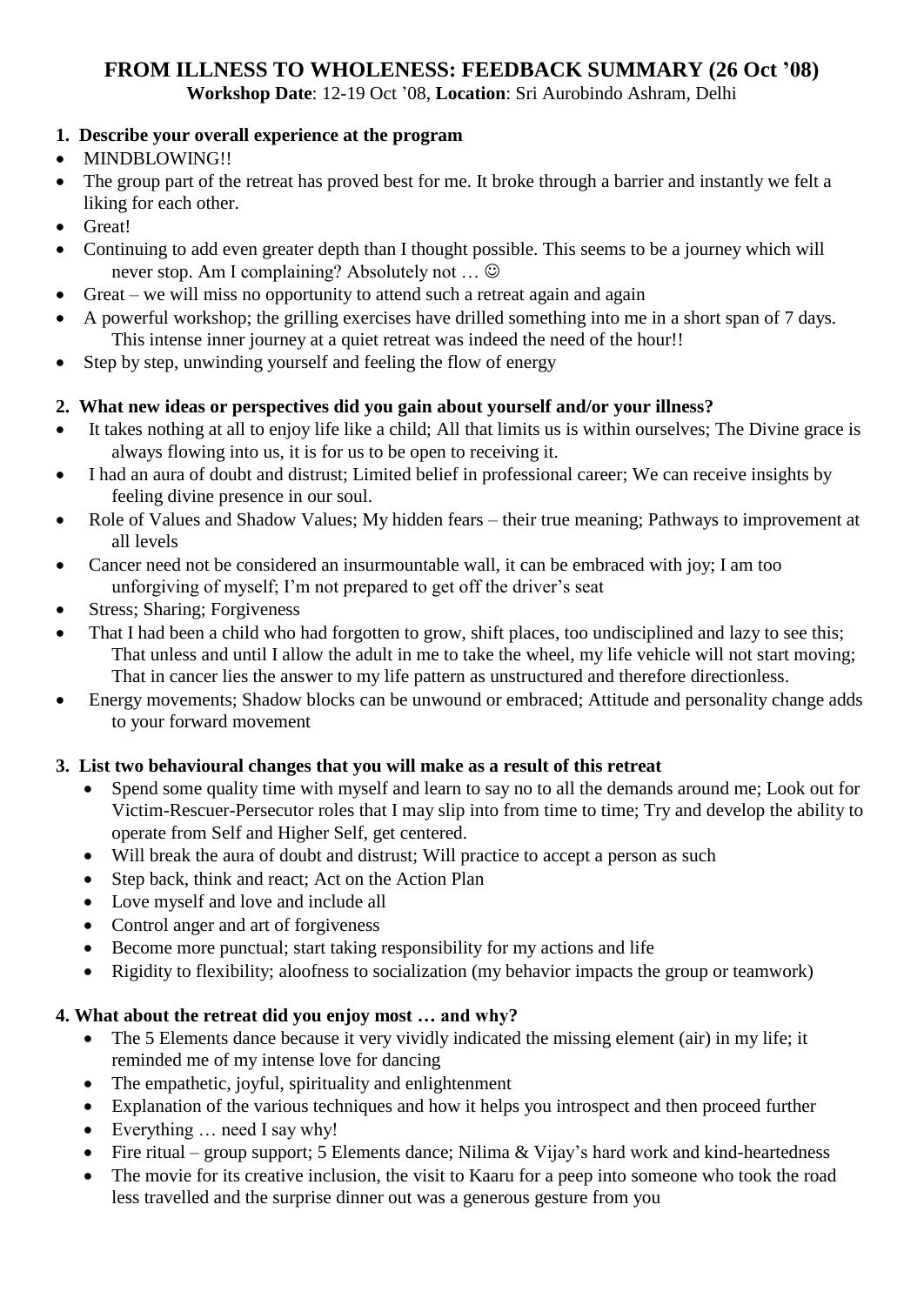# **FROM ILLNESS TO WHOLENESS: FEEDBACK SUMMARY (26 Oct '08)**

**Workshop Date**: 12-19 Oct '08, **Location**: Sri Aurobindo Ashram, Delhi

#### **1. Describe your overall experience at the program**

- MINDBLOWING!!
- The group part of the retreat has proved best for me. It broke through a barrier and instantly we felt a liking for each other.
- Great!
- Continuing to add even greater depth than I thought possible. This seems to be a journey which will never stop. Am I complaining? Absolutely not …
- Great we will miss no opportunity to attend such a retreat again and again
- A powerful workshop; the grilling exercises have drilled something into me in a short span of 7 days. This intense inner journey at a quiet retreat was indeed the need of the hour!!
- Step by step, unwinding yourself and feeling the flow of energy

#### **2. What new ideas or perspectives did you gain about yourself and/or your illness?**

- It takes nothing at all to enjoy life like a child; All that limits us is within ourselves; The Divine grace is always flowing into us, it is for us to be open to receiving it.
- I had an aura of doubt and distrust; Limited belief in professional career; We can receive insights by feeling divine presence in our soul.
- Role of Values and Shadow Values; My hidden fears their true meaning; Pathways to improvement at all levels
- Cancer need not be considered an insurmountable wall, it can be embraced with joy; I am too unforgiving of myself; I'm not prepared to get off the driver's seat
- Stress; Sharing; Forgiveness
- That I had been a child who had forgotten to grow, shift places, too undisciplined and lazy to see this; That unless and until I allow the adult in me to take the wheel, my life vehicle will not start moving; That in cancer lies the answer to my life pattern as unstructured and therefore directionless.
- Energy movements; Shadow blocks can be unwound or embraced; Attitude and personality change adds to your forward movement

#### **3. List two behavioural changes that you will make as a result of this retreat**

- Spend some quality time with myself and learn to say no to all the demands around me; Look out for Victim-Rescuer-Persecutor roles that I may slip into from time to time; Try and develop the ability to operate from Self and Higher Self, get centered.
- Will break the aura of doubt and distrust; Will practice to accept a person as such
- Step back, think and react; Act on the Action Plan
- Love myself and love and include all
- Control anger and art of forgiveness
- Become more punctual; start taking responsibility for my actions and life
- Rigidity to flexibility; aloofness to socialization (my behavior impacts the group or teamwork)

### **4. What about the retreat did you enjoy most … and why?**

- The 5 Elements dance because it very vividly indicated the missing element (air) in my life; it reminded me of my intense love for dancing
- The empathetic, joyful, spirituality and enlightenment
- Explanation of the various techniques and how it helps you introspect and then proceed further
- Everything … need I say why!
- Fire ritual group support; 5 Elements dance; Nilima & Vijay's hard work and kind-heartedness
- The movie for its creative inclusion, the visit to Kaaru for a peep into someone who took the road less travelled and the surprise dinner out was a generous gesture from you